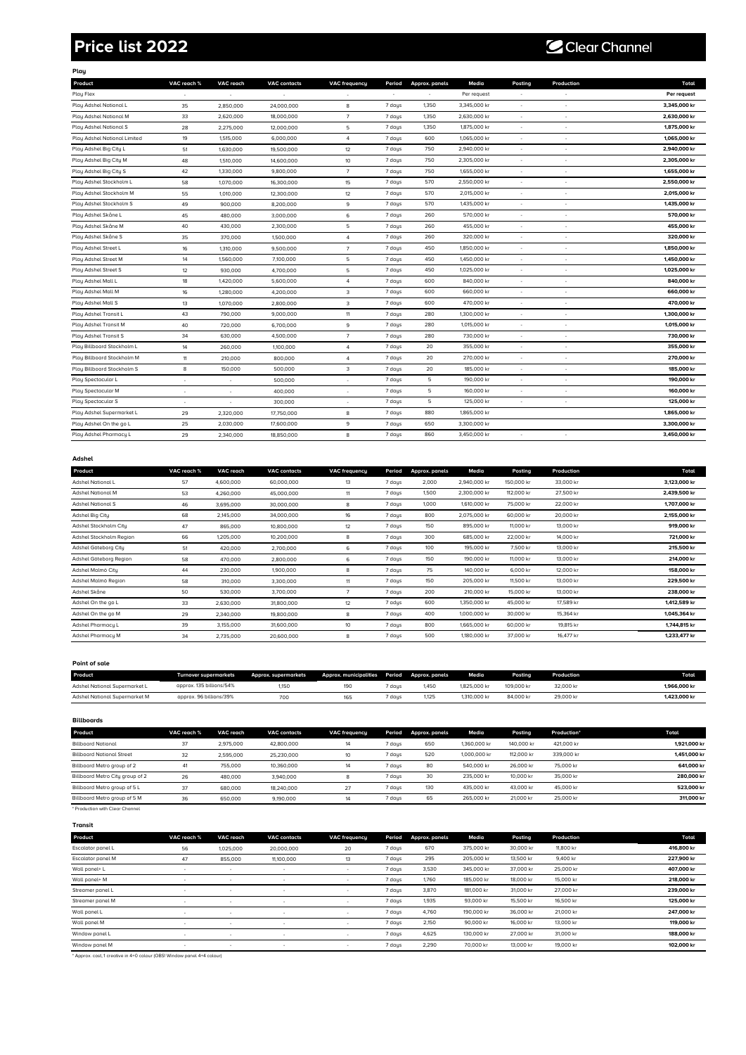# **Price list 2022**

**Play**

# C Clear Channel

| Product                      | VAC reach % | <b>VAC</b> reach | <b>VAC</b> contacts | <b>VAC</b> frequency | Period | Approx. panels | Media        | Posting | Production               | Total        |
|------------------------------|-------------|------------------|---------------------|----------------------|--------|----------------|--------------|---------|--------------------------|--------------|
| Play Flex                    |             |                  |                     |                      |        |                | Per request  |         |                          | Per request  |
| Play Adshel National L       | 35          | 2,850,000        | 24,000,000          | 8                    | 7 days | 1,350          | 3,345,000 kr |         |                          | 3,345,000 kr |
| Play Adshel National M       | 33          | 2,620,000        | 18,000,000          | $\overline{7}$       | 7 days | 1,350          | 2,630,000 kr |         |                          | 2.630,000 kr |
| Play Adshel National S       | 28          | 2,275,000        | 12,000,000          | 5                    | 7 days | 1,350          | 1,875,000 kr | $\sim$  | $\sim$                   | 1,875,000 kr |
| Play Adshel National Limited | 19          | 1,515,000        | 6,000,000           | $\overline{4}$       | 7 days | 600            | 1.065.000 kr | $\sim$  | $\sim$                   | 1.065,000 kr |
| Play Adshel Big City L       | 51          | 1,630,000        | 19,500,000          | 12                   | 7 days | 750            | 2,940,000 kr |         | $\sim$                   | 2,940,000 kr |
| Play Adshel Big City M       | 48          | 1,510,000        | 14,600,000          | 10                   | 7 days | 750            | 2,305,000 kr |         |                          | 2,305,000 kr |
| Play Adshel Big City S       | 42          | 1,330,000        | 9,800,000           | $\overline{7}$       | 7 days | 750            | 1,655,000 kr | $\sim$  | ٠                        | 1,655,000 kr |
| Play Adshel Stockholm L      | 58          | 1,070,000        | 16,300,000          | 15                   | 7 days | 570            | 2.550.000 kr |         |                          | 2.550,000 kr |
| Play Adshel Stockholm M      | 55          | 1,010,000        | 12,300,000          | 12                   | 7 days | 570            | 2,015,000 kr |         | $\sim$                   | 2,015,000 kr |
| Play Adshel Stockholm S      | 49          | 900,000          | 8,200,000           | $\mathsf 9$          | 7 days | 570            | 1,435,000 kr | $\sim$  | $\sim$                   | 1,435,000 kr |
| Play Adshel Skåne L          | 45          | 480,000          | 3,000,000           | 6                    | 7 days | 260            | 570,000 kr   | $\sim$  | $\overline{\phantom{a}}$ | 570,000 kr   |
| Play Adshel Skåne M          | 40          | 430,000          | 2,300,000           | 5                    | 7 days | 260            | 455,000 kr   | $\sim$  | $\sim$                   | 455,000 kr   |
| Play Adshel Skåne S          | 35          | 370,000          | 1,500,000           | $\overline{4}$       | 7 days | 260            | 320,000 kr   |         |                          | 320,000 kr   |
| Play Adshel Street L         | 16          | 1,310,000        | 9,500,000           | $\overline{7}$       | 7 days | 450            | 1,850,000 kr |         | ٠                        | 1,850,000 kr |
| Play Adshel Street M         | 14          | 1,560,000        | 7,100,000           | 5                    | 7 days | 450            | 1,450,000 kr | $\sim$  | ٠                        | 1.450,000 kr |
| Play Adshel Street S         | 12          | 930,000          | 4,700,000           | 5                    | 7 days | 450            | 1,025,000 kr |         |                          | 1,025,000 kr |
| Play Adshel Mall L           | 18          | 1,420,000        | 5,600,000           | 4                    | 7 days | 600            | 840,000 kr   |         | $\sim$                   | 840,000 kr   |
| Play Adshel Mall M           | 16          | 1,280,000        | 4,200,000           | 3                    | 7 days | 600            | 660,000 kr   | $\sim$  | $\sim$                   | 660,000 kr   |
| Play Adshel Mall S           | 13          | 1,070,000        | 2,800,000           | 3                    | 7 days | 600            | 470,000 kr   |         | $\sim$                   | 470,000 kr   |
| Play Adshel Transit L        | 43          | 790,000          | 9,000,000           | 11                   | 7 days | 280            | 1,300,000 kr |         |                          | 1,300,000 kr |
| Play Adshel Transit M        | 40          | 720,000          | 6,700,000           | $\mathsf 9$          | 7 days | 280            | 1,015,000 kr | $\sim$  | $\sim$                   | 1,015,000 kr |
| Play Adshel Transit S        | 34          | 630,000          | 4,500,000           | $\overline{7}$       | 7 days | 280            | 730,000 kr   | $\sim$  | ٠                        | 730,000 kr   |
| Play Billboard Stockholm L   | 14          | 260,000          | 1,100,000           | 4                    | 7 days | 20             | 355,000 kr   |         |                          | 355,000 kr   |
| Play Billboard Stockholm M   | 11          | 210,000          | 800,000             | $\overline{4}$       | 7 days | 20             | 270,000 kr   | $\sim$  | $\sim$                   | 270,000 kr   |
| Play Billboard Stockholm S   | 8           | 150,000          | 500,000             | 3                    | 7 days | 20             | 185,000 kr   | $\sim$  | $\sim$                   | 185,000 kr   |
| Play Spectacular L           | ٠           |                  | 500,000             |                      | 7 days | 5              | 190,000 kr   |         | $\sim$                   | 190,000 kr   |
| Play Spectacular M           |             |                  | 400,000             |                      | 7 days | 5              | 160,000 kr   |         |                          | 160,000 kr   |
| Play Spectacular S           | ٠           | $\sim$           | 300,000             | $\sim$               | 7 days | 5              | 125,000 kr   | $\sim$  | ٠                        | 125,000 kr   |
| Play Adshel Supermarket L    | 29          | 2,320,000        | 17,750,000          | 8                    | 7 days | 880            | 1,865,000 kr |         |                          | 1,865,000 kr |
| Play Adshel On the go L      | 25          | 2,030,000        | 17,600,000          | 9                    | 7 days | 650            | 3,300,000 kr |         |                          | 3.300,000 kr |
| Play Adshel Pharmacy L       | 29          | 2,340,000        | 18,850,000          | 8                    | 7 days | 860            | 3,450,000 kr |         |                          | 3.450,000 kr |

# **Adshel**

| Product                  | VAC reach % | VAC reach | <b>VAC</b> contacts | <b>VAC</b> frequency | Period | Approx. panels | Media        | Posting    | Production | Total        |
|--------------------------|-------------|-----------|---------------------|----------------------|--------|----------------|--------------|------------|------------|--------------|
| Adshel National L        | 57          | 4,600,000 | 60,000,000          | 13                   | 7 days | 2,000          | 2,940,000 kr | 150,000 kr | 33,000 kr  | 3,123,000 kr |
| <b>Adshel National M</b> | 53          | 4,260,000 | 45,000,000          | 11                   | 7 days | 1,500          | 2,300,000 kr | 112,000 kr | 27,500 kr  | 2,439,500 kr |
| <b>Adshel National S</b> | 46          | 3,695,000 | 30,000,000          | 8                    | 7 days | 1,000          | 1,610,000 kr | 75,000 kr  | 22,000 kr  | 1,707,000 kr |
| Adshel Big City          | 68          | 2,145,000 | 34,000,000          | 16                   | 7 days | 800            | 2,075,000 kr | 60,000 kr  | 20,000 kr  | 2,155,000 kr |
| Adshel Stockholm City    | 47          | 865,000   | 10,800,000          | 12                   | 7 days | 150            | 895,000 kr   | 11,000 kr  | 13,000 kr  | 919,000 kr   |
| Adshel Stockholm Region  | 66          | 1,205,000 | 10,200,000          | 8                    | 7 days | 300            | 685,000 kr   | 22,000 kr  | 14,000 kr  | 721,000 kr   |
| Adshel Göteborg City     | 51          | 420,000   | 2,700,000           | 6                    | 7 days | 100            | 195,000 kr   | 7,500 kr   | 13,000 kr  | 215,500 kr   |
| Adshel Göteborg Region   | 58          | 470,000   | 2,800,000           | 6                    | 7 days | 150            | 190,000 kr   | 11,000 kr  | 13,000 kr  | 214,000 kr   |
| Adshel Malmö City        | 44          | 230,000   | 1,900,000           | 8                    | 7 days | 75             | 140,000 kr   | 6,000 kr   | 12,000 kr  | 158,000 kr   |
| Adshel Malmö Region      | 58          | 310,000   | 3,300,000           | 11                   | 7 days | 150            | 205,000 kr   | 11,500 kr  | 13,000 kr  | 229,500 kr   |
| Adshel Skåne             | 50          | 530,000   | 3,700,000           |                      | 7 days | 200            | 210,000 kr   | 15,000 kr  | 13,000 kr  | 238,000 kr   |
| Adshel On the go L       | 33          | 2,630,000 | 31,800,000          | 12                   | 7 adys | 600            | 1,350,000 kr | 45,000 kr  | 17,589 kr  | 1,412,589 kr |
| Adshel On the go M       | 29          | 2,340,000 | 19,800,000          | 8                    | 7 days | 400            | 1,000,000 kr | 30,000 kr  | 15,364 kr  | 1,045,364 kr |
| Adshel Pharmacy L        | 39          | 3,155,000 | 31,600,000          | 10                   | 7 days | 800            | 1,665,000 kr | 60,000 kr  | 19,815 kr  | 1,744,815 kr |
| Adshel Pharmacy M        | 34          | 2,735,000 | 20,600,000          | 8                    | 7 days | 500            | 1,180,000 kr | 37,000 kr  | 16,477 kr  | 1,233,477 kr |

#### **Point of sale**

|                               |                                   |     |                   | Approx. municipalities Period Approx. panels | Media        | Postina    | Production | Total        |
|-------------------------------|-----------------------------------|-----|-------------------|----------------------------------------------|--------------|------------|------------|--------------|
| Adshel National Supermarket L | approx. 135 billions/54%<br>1,150 | 190 | 7 days            | 1,450                                        | 1.825.000 kr | 109,000 kr | 32,000 kr  | 1,966,000 kr |
| Adshel National Supermarket M | approx, 96 billions/39%<br>700    | 165 | <sup>7</sup> daus | 1.125                                        | 1.310.000 kr | 84,000 kr  | 29,000 kr  | 1.423.000 kr |

# **Billboards**

| Product                          | VAC reach % | VAC reach | VAC contacts | <b>VAC frequencu</b> | Period | Approx. panels | Media        | Posting    | Production* | Total        |
|----------------------------------|-------------|-----------|--------------|----------------------|--------|----------------|--------------|------------|-------------|--------------|
| <b>Billboard National</b>        | 37          | 2.975.000 | 42,800,000   | 14                   | 7 days | 650            | 1.360.000 kr | 140,000 kr | 421,000 kr  | 1.921.000 kr |
| <b>Billboard National Street</b> | 32          | 2.595.000 | 25.230.000   |                      | 7 days | 520            | 1,000,000 kr | 112,000 kr | 339,000 kr  | 1.451.000 kr |
| Billboard Metro aroup of 2       | 41          | 755,000   | 10.360.000   | 14                   | 7 daus | 80             | 540,000 kr   | 26,000 kr  | 75,000 kr   | 641,000 kr   |
| Billboard Metro City group of 2  | 26          | 480,000   | 3.940.000    | 8                    | 7 daus | 30             | 235,000 kr   | 10,000 kr  | 35,000 kr   | 280,000 kr   |
| Billboard Metro group of 5 L     | 37          | 680,000   | 18,240,000   | 27                   | 7 daus | 130            | 435,000 kr   | 43,000 kr  | 45,000 kr   | 523,000 kr   |
| Billboard Metro aroup of 5 M     | 36          | 650,000   | 9,190,000    | 14                   | 7 daus | 65             | 265,000 kr   | 21,000 kr  | 25,000 kr   | 311,000 kr   |
| * Production with Clear Channel  |             |           |              |                      |        |                |              |            |             |              |

# **Transit**

| Product           | VAC reach % | VAC reach | <b>VAC contacts</b> | <b>VAC</b> frequency | Period | Approx. panels | Media      | Posting   | Production | Total      |
|-------------------|-------------|-----------|---------------------|----------------------|--------|----------------|------------|-----------|------------|------------|
| Escalator panel L | 56          | 1.025.000 | 20,000,000          | 20                   | 7 days | 670            | 375,000 kr | 30,000 kr | 11,800 kr  | 416,800 kr |
| Escalator panel M | 47          | 855,000   | 11,100,000          | 13                   | 7 days | 295            | 205,000 kr | 13,500 kr | 9,400 kr   | 227,900 kr |
| Wall panel+ L     |             |           |                     |                      | 7 days | 3,530          | 345,000 kr | 37,000 kr | 25,000 kr  | 407,000 kr |
| Wall panel+ M     |             |           |                     |                      | 7 days | 1.760          | 185,000 kr | 18,000 kr | 15,000 kr  | 218,000 kr |
| Streamer panel L  |             |           |                     |                      | 7 days | 3,870          | 181,000 kr | 31,000 kr | 27,000 kr  | 239,000 kr |
| Streamer panel M  |             |           |                     |                      | 7 days | 1,935          | 93,000 kr  | 15,500 kr | 16,500 kr  | 125,000 kr |
| Wall panel L      |             |           | $\sim$              |                      | 7 days | 4,760          | 190,000 kr | 36,000 kr | 21,000 kr  | 247.000 kr |
| Wall panel M      |             |           |                     |                      | 7 days | 2,150          | 90,000 kr  | 16,000 kr | 13,000 kr  | 119,000 kr |
| Window panel L    |             |           |                     |                      | 7 days | 4,625          | 130,000 kr | 27,000 kr | 31,000 kr  | 188,000 kr |
| Window panel M    |             |           |                     |                      | 7 days | 2,290          | 70,000 kr  | 13,000 kr | 19,000 kr  | 102.000 kr |

\* Approx. cost, 1 creative in 4+0 colour (OBS! Window panel 4+4 colour)